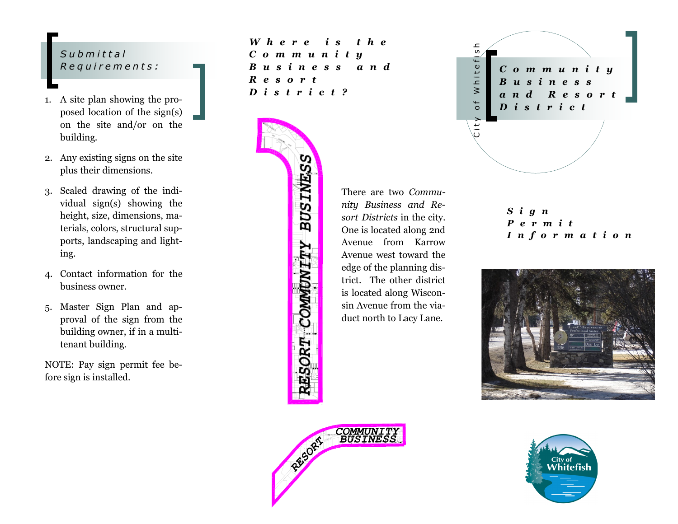### *S u b m i t t a l R e q u i r e m e n t s :*

- 1. A site plan showing the proposed location of the sign(s) on the site and/or on the building.
- 2. Any existing signs on the site plus their dimensions.
- 3. Scaled drawing of the individual sign(s) showing the height, size, dimensions, materials, colors, structural supports, landscaping and lighting.
- 4. Contact information for the business owner.
- 5. Master Sign Plan and approval of the sign from the building owner, if in a multitenant building.

NOTE: Pay sign permit fee before sign is installed.

*W h e r e i s t h e C o m m u n i t y B u s i n e s s a n d R e s o r t D i s t r i c t ?*



There are two *Community Business and Resort Districts* in the city. One is located along 2nd Avenue from Karrow Avenue west toward the edge of the planning district. The other district is located along Wisconsin Avenue from the viaduct north to Lacy Lane.



*S i g n P e r m i t I n f o r m a t i o n*